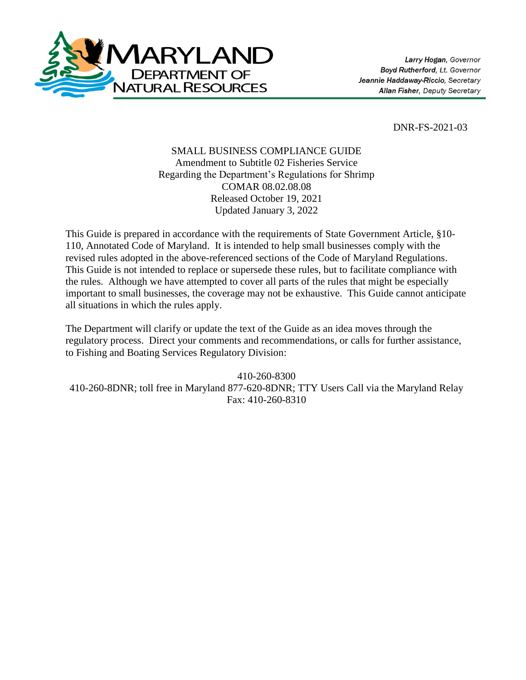

DNR-FS-2021-03

## SMALL BUSINESS COMPLIANCE GUIDE Amendment to Subtitle 02 Fisheries Service Regarding the Department's Regulations for Shrimp COMAR 08.02.08.08 Released October 19, 2021 Updated January 3, 2022

This Guide is prepared in accordance with the requirements of State Government Article, §10- 110, Annotated Code of Maryland. It is intended to help small businesses comply with the revised rules adopted in the above-referenced sections of the Code of Maryland Regulations. This Guide is not intended to replace or supersede these rules, but to facilitate compliance with the rules. Although we have attempted to cover all parts of the rules that might be especially important to small businesses, the coverage may not be exhaustive. This Guide cannot anticipate all situations in which the rules apply.

The Department will clarify or update the text of the Guide as an idea moves through the regulatory process. Direct your comments and recommendations, or calls for further assistance, to Fishing and Boating Services Regulatory Division:

410-260-8300 410-260-8DNR; toll free in Maryland 877-620-8DNR; TTY Users Call via the Maryland Relay Fax: 410-260-8310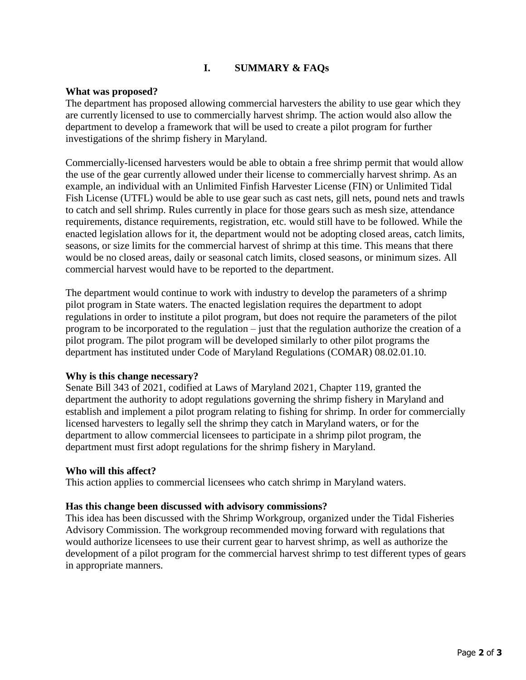# **I. SUMMARY & FAQs**

### **What was proposed?**

The department has proposed allowing commercial harvesters the ability to use gear which they are currently licensed to use to commercially harvest shrimp. The action would also allow the department to develop a framework that will be used to create a pilot program for further investigations of the shrimp fishery in Maryland.

Commercially-licensed harvesters would be able to obtain a free shrimp permit that would allow the use of the gear currently allowed under their license to commercially harvest shrimp. As an example, an individual with an Unlimited Finfish Harvester License (FIN) or Unlimited Tidal Fish License (UTFL) would be able to use gear such as cast nets, gill nets, pound nets and trawls to catch and sell shrimp. Rules currently in place for those gears such as mesh size, attendance requirements, distance requirements, registration, etc. would still have to be followed. While the enacted legislation allows for it, the department would not be adopting closed areas, catch limits, seasons, or size limits for the commercial harvest of shrimp at this time. This means that there would be no closed areas, daily or seasonal catch limits, closed seasons, or minimum sizes. All commercial harvest would have to be reported to the department.

The department would continue to work with industry to develop the parameters of a shrimp pilot program in State waters. The enacted legislation requires the department to adopt regulations in order to institute a pilot program, but does not require the parameters of the pilot program to be incorporated to the regulation – just that the regulation authorize the creation of a pilot program. The pilot program will be developed similarly to other pilot programs the department has instituted under Code of Maryland Regulations (COMAR) 08.02.01.10.

### **Why is this change necessary?**

Senate Bill 343 of 2021, codified at Laws of Maryland 2021, Chapter 119, granted the department the authority to adopt regulations governing the shrimp fishery in Maryland and establish and implement a pilot program relating to fishing for shrimp. In order for commercially licensed harvesters to legally sell the shrimp they catch in Maryland waters, or for the department to allow commercial licensees to participate in a shrimp pilot program, the department must first adopt regulations for the shrimp fishery in Maryland.

#### **Who will this affect?**

This action applies to commercial licensees who catch shrimp in Maryland waters.

#### **Has this change been discussed with advisory commissions?**

This idea has been discussed with the Shrimp Workgroup, organized under the Tidal Fisheries Advisory Commission. The workgroup recommended moving forward with regulations that would authorize licensees to use their current gear to harvest shrimp, as well as authorize the development of a pilot program for the commercial harvest shrimp to test different types of gears in appropriate manners.